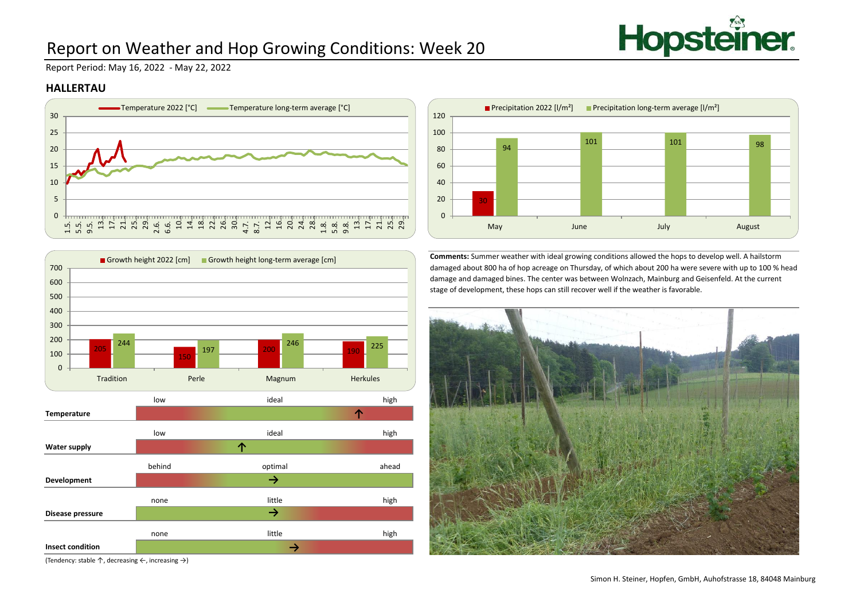

# Report on Weather and Hop Growing Conditions: Week 20

Report Period: May 16, 2022 - May 22, 2022

#### **HALLERTAU**





(Tendency: stable ↑, decreasing ←, increasing →)



**Comments:** Summer weather with ideal growing conditions allowed the hops to develop well. A hailstorm damaged about 800 ha of hop acreage on Thursday, of which about 200 ha were severe with up to 100 % head damage and damaged bines. The center was between Wolnzach, Mainburg and Geisenfeld. At the current stage of development, these hops can still recover well if the weather is favorable.

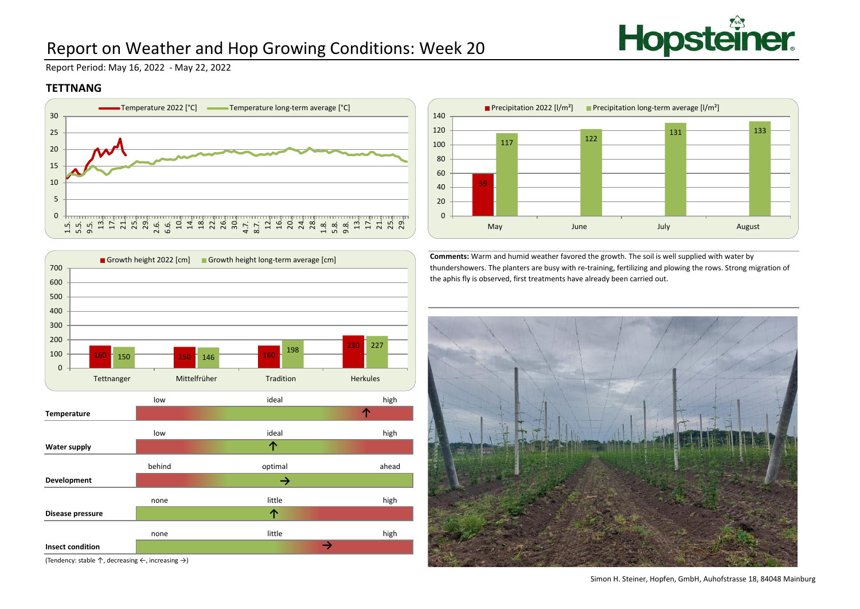

# Report on Weather and Hop Growing Conditions: Week 20

Report Period: May 16, 2022 - May 22, 2022

### **TETTNANG**



Growth height 2022 [cm] Growth height long-term average [cm]



**Comments:** Warm and humid weather favored the growth. The soil is well supplied with water by thundershowers. The planters are busy with re-training, fertilizing and plowing the rows. Strong migration of the aphis fly is observed, first treatments have already been carried out.



(Tendency: stable ↑, decreasing ←, increasing →)